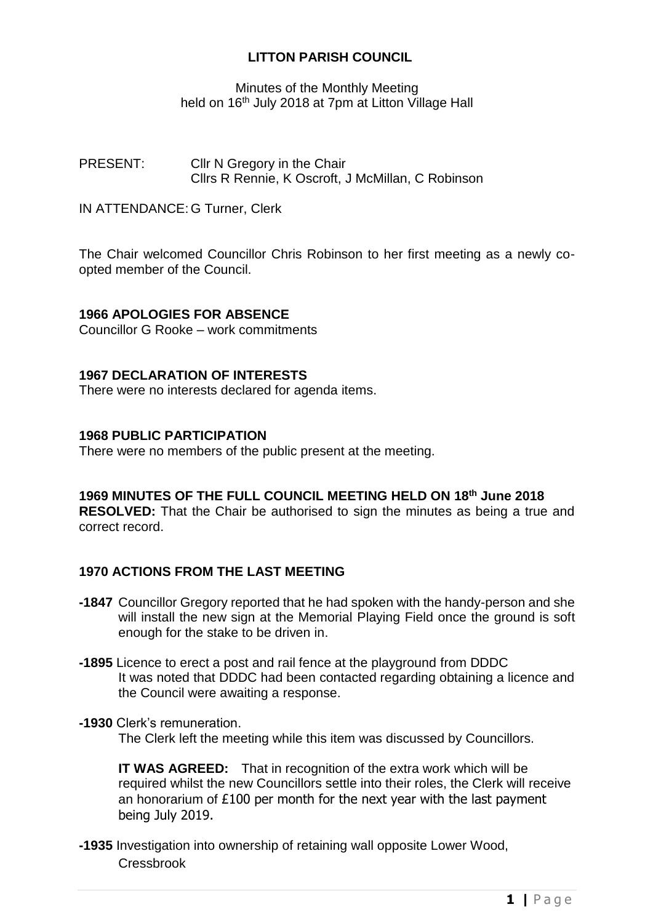## **LITTON PARISH COUNCIL**

Minutes of the Monthly Meeting held on 16<sup>th</sup> July 2018 at 7pm at Litton Village Hall

PRESENT: Cllr N Gregory in the Chair Cllrs R Rennie, K Oscroft, J McMillan, C Robinson

IN ATTENDANCE: G Turner, Clerk

The Chair welcomed Councillor Chris Robinson to her first meeting as a newly coopted member of the Council.

## **1966 APOLOGIES FOR ABSENCE**

Councillor G Rooke – work commitments

## **1967 DECLARATION OF INTERESTS**

There were no interests declared for agenda items.

## **1968 PUBLIC PARTICIPATION**

There were no members of the public present at the meeting.

#### **1969 MINUTES OF THE FULL COUNCIL MEETING HELD ON 18th June 2018 RESOLVED:** That the Chair be authorised to sign the minutes as being a true and correct record.

# **1970 ACTIONS FROM THE LAST MEETING**

- **-1847** Councillor Gregory reported that he had spoken with the handy-person and she will install the new sign at the Memorial Playing Field once the ground is soft enough for the stake to be driven in.
- **-1895** Licence to erect a post and rail fence at the playground from DDDC It was noted that DDDC had been contacted regarding obtaining a licence and the Council were awaiting a response.
- **-1930** Clerk's remuneration.

The Clerk left the meeting while this item was discussed by Councillors.

**IT WAS AGREED:** That in recognition of the extra work which will be required whilst the new Councillors settle into their roles, the Clerk will receive an honorarium of £100 per month for the next year with the last payment being July 2019.

**-1935** Investigation into ownership of retaining wall opposite Lower Wood, Cressbrook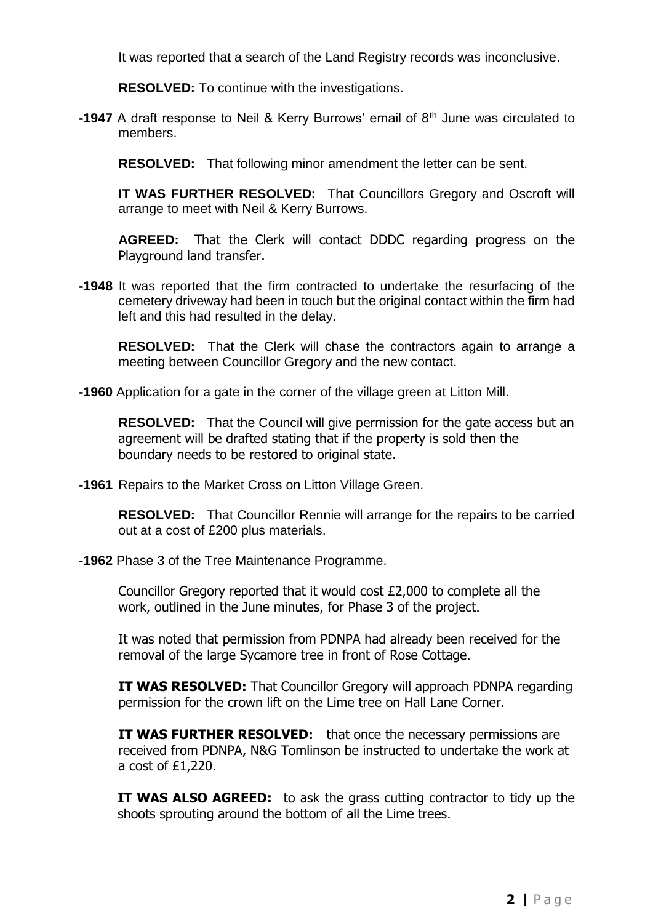It was reported that a search of the Land Registry records was inconclusive.

**RESOLVED:** To continue with the investigations.

**-1947** A draft response to Neil & Kerry Burrows' email of 8th June was circulated to members.

**RESOLVED:** That following minor amendment the letter can be sent.

**IT WAS FURTHER RESOLVED:** That Councillors Gregory and Oscroft will arrange to meet with Neil & Kerry Burrows.

**AGREED:** That the Clerk will contact DDDC regarding progress on the Playground land transfer.

**-1948** It was reported that the firm contracted to undertake the resurfacing of the cemetery driveway had been in touch but the original contact within the firm had left and this had resulted in the delay.

**RESOLVED:** That the Clerk will chase the contractors again to arrange a meeting between Councillor Gregory and the new contact.

**-1960** Application for a gate in the corner of the village green at Litton Mill.

**RESOLVED:** That the Council will give permission for the gate access but an agreement will be drafted stating that if the property is sold then the boundary needs to be restored to original state.

**-1961** Repairs to the Market Cross on Litton Village Green.

**RESOLVED:** That Councillor Rennie will arrange for the repairs to be carried out at a cost of £200 plus materials.

**-1962** Phase 3 of the Tree Maintenance Programme.

Councillor Gregory reported that it would cost £2,000 to complete all the work, outlined in the June minutes, for Phase 3 of the project.

It was noted that permission from PDNPA had already been received for the removal of the large Sycamore tree in front of Rose Cottage.

**IT WAS RESOLVED:** That Councillor Gregory will approach PDNPA regarding permission for the crown lift on the Lime tree on Hall Lane Corner.

**IT WAS FURTHER RESOLVED:** that once the necessary permissions are received from PDNPA, N&G Tomlinson be instructed to undertake the work at a cost of £1,220.

**IT WAS ALSO AGREED:** to ask the grass cutting contractor to tidy up the shoots sprouting around the bottom of all the Lime trees.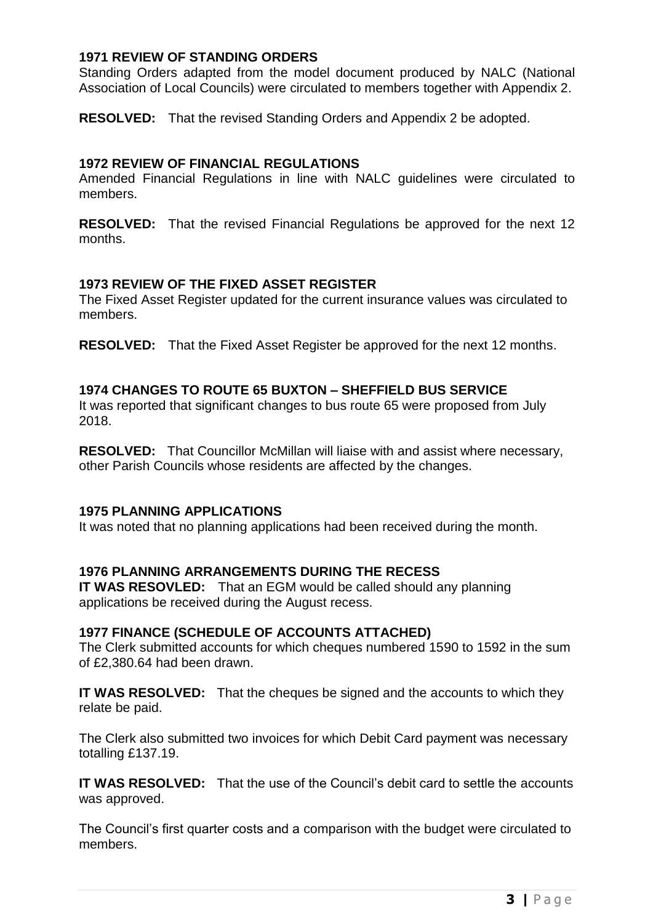## **1971 REVIEW OF STANDING ORDERS**

Standing Orders adapted from the model document produced by NALC (National Association of Local Councils) were circulated to members together with Appendix 2.

**RESOLVED:** That the revised Standing Orders and Appendix 2 be adopted.

## **1972 REVIEW OF FINANCIAL REGULATIONS**

Amended Financial Regulations in line with NALC guidelines were circulated to members.

**RESOLVED:** That the revised Financial Regulations be approved for the next 12 months.

## **1973 REVIEW OF THE FIXED ASSET REGISTER**

The Fixed Asset Register updated for the current insurance values was circulated to members.

**RESOLVED:** That the Fixed Asset Register be approved for the next 12 months.

## **1974 CHANGES TO ROUTE 65 BUXTON – SHEFFIELD BUS SERVICE**

It was reported that significant changes to bus route 65 were proposed from July 2018.

**RESOLVED:** That Councillor McMillan will liaise with and assist where necessary, other Parish Councils whose residents are affected by the changes.

## **1975 PLANNING APPLICATIONS**

It was noted that no planning applications had been received during the month.

## **1976 PLANNING ARRANGEMENTS DURING THE RECESS**

**IT WAS RESOVLED:** That an EGM would be called should any planning applications be received during the August recess.

## **1977 FINANCE (SCHEDULE OF ACCOUNTS ATTACHED)**

The Clerk submitted accounts for which cheques numbered 1590 to 1592 in the sum of £2,380.64 had been drawn.

**IT WAS RESOLVED:** That the cheques be signed and the accounts to which they relate be paid.

The Clerk also submitted two invoices for which Debit Card payment was necessary totalling £137.19.

**IT WAS RESOLVED:** That the use of the Council's debit card to settle the accounts was approved.

The Council's first quarter costs and a comparison with the budget were circulated to members.